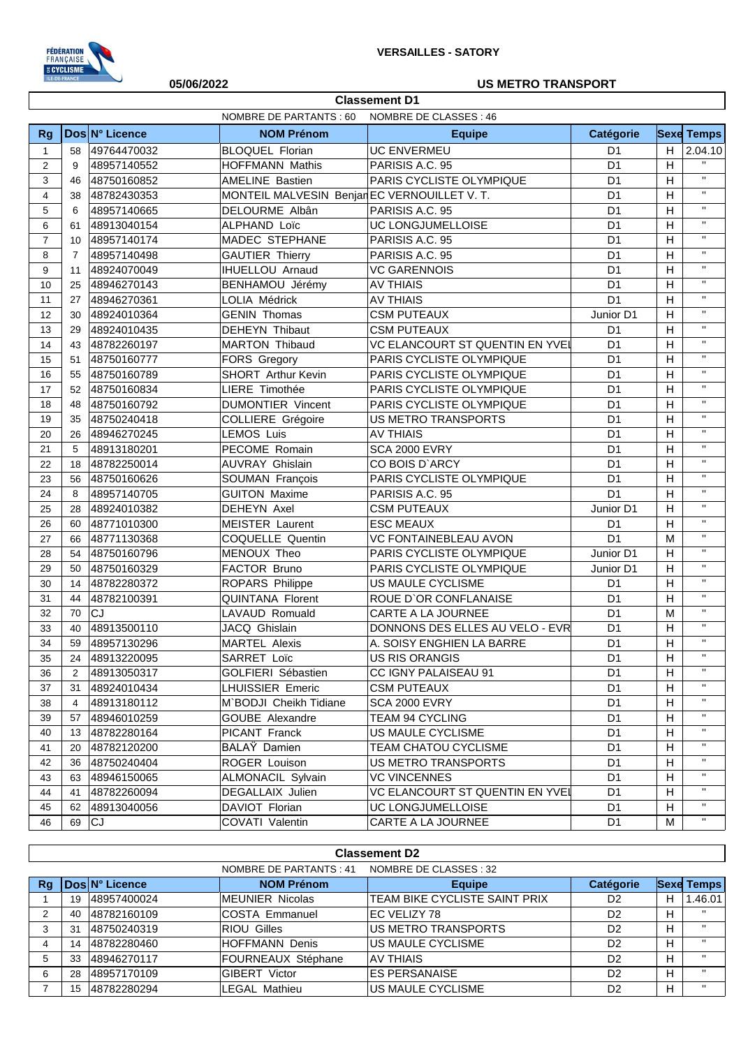

## **05/06/2022 US METRO TRANSPORT**

|                | <b>Classement D1</b>                              |                |                                              |                                        |                |                           |                   |  |
|----------------|---------------------------------------------------|----------------|----------------------------------------------|----------------------------------------|----------------|---------------------------|-------------------|--|
|                | NOMBRE DE PARTANTS : 60<br>NOMBRE DE CLASSES : 46 |                |                                              |                                        |                |                           |                   |  |
| Rg             |                                                   | Dos N° Licence | <b>NOM Prénom</b>                            | <b>Equipe</b>                          | Catégorie      |                           | <b>Sexe Temps</b> |  |
| $\mathbf{1}$   | 58                                                | 49764470032    | <b>BLOQUEL Florian</b>                       | <b>UC ENVERMEU</b>                     | D <sub>1</sub> | H                         | 2.04.10           |  |
| 2              | 9                                                 | 48957140552    | <b>HOFFMANN Mathis</b>                       | PARISIS A.C. 95                        | D <sub>1</sub> | H                         |                   |  |
| 3              | 46                                                | 48750160852    | <b>AMELINE Bastien</b>                       | PARIS CYCLISTE OLYMPIQUE               | D <sub>1</sub> | H                         | $\mathbf{H}$      |  |
| $\overline{4}$ | 38                                                | 48782430353    | MONTEIL MALVESIN Benjar EC VERNOUILLET V. T. |                                        | D <sub>1</sub> | H                         | $\mathbf{H}$      |  |
| 5              | 6                                                 | 48957140665    | DELOURME Albân                               | PARISIS A.C. 95                        | D <sub>1</sub> | H                         | $\mathbf{H}$      |  |
| 6              | 61                                                | 48913040154    | ALPHAND Loïc                                 | UC LONGJUMELLOISE                      | D <sub>1</sub> | H                         | $\mathbf{H}$      |  |
| $\overline{7}$ | 10                                                | 48957140174    | MADEC STEPHANE                               | PARISIS A.C. 95                        | D <sub>1</sub> | H                         | $\mathbf{H}$      |  |
| 8              | 7                                                 | 48957140498    | <b>GAUTIER Thierry</b>                       | PARISIS A.C. 95                        | D <sub>1</sub> | H                         | $\mathbf{H}$      |  |
| 9              | 11                                                | 48924070049    | <b>IHUELLOU Arnaud</b>                       | <b>VC GARENNOIS</b>                    | D <sub>1</sub> | H                         | $\mathbf{H}$      |  |
| 10             | 25                                                | 48946270143    | BENHAMOU Jérémy                              | <b>AV THIAIS</b>                       | D <sub>1</sub> | H                         | $\mathbf{H}$      |  |
| 11             | 27                                                | 48946270361    | LOLIA Médrick                                | <b>AV THIAIS</b>                       | D <sub>1</sub> | H                         | $\mathbf{H}$      |  |
| 12             | 30                                                | 48924010364    | <b>GENIN Thomas</b>                          | <b>CSM PUTEAUX</b>                     | Junior D1      | H                         | $\mathbf{H}$      |  |
| 13             | 29                                                | 48924010435    | DEHEYN Thibaut                               | <b>CSM PUTEAUX</b>                     | D <sub>1</sub> | H                         | $\mathbf{H}$      |  |
| 14             | 43                                                | 48782260197    | <b>MARTON Thibaud</b>                        | VC ELANCOURT ST QUENTIN EN YVEI        | D <sub>1</sub> | H                         | $\mathbf{H}$      |  |
| 15             | 51                                                | 48750160777    | <b>FORS Gregory</b>                          | PARIS CYCLISTE OLYMPIQUE               | D <sub>1</sub> | H                         | $\mathbf{H}$      |  |
| 16             | 55                                                | 48750160789    | SHORT Arthur Kevin                           | PARIS CYCLISTE OLYMPIQUE               | D <sub>1</sub> | H                         | $\mathbf{H}$      |  |
| 17             | 52                                                | 48750160834    | LIERE Timothée                               | PARIS CYCLISTE OLYMPIQUE               | D <sub>1</sub> | H                         | $\mathbf{H}$      |  |
| 18             | 48                                                | 48750160792    | <b>DUMONTIER Vincent</b>                     | PARIS CYCLISTE OLYMPIQUE               | D <sub>1</sub> | H                         | $\mathbf{H}$      |  |
| 19             | 35                                                | 48750240418    | COLLIERE Grégoire                            | <b>US METRO TRANSPORTS</b>             | D <sub>1</sub> | H                         | $\mathbf{H}$      |  |
| 20             | 26                                                | 48946270245    | <b>LEMOS Luis</b>                            | <b>AV THIAIS</b>                       | D <sub>1</sub> | H                         | $\mathbf{H}$      |  |
| 21             | 5                                                 | 48913180201    | PECOME Romain                                | <b>SCA 2000 EVRY</b>                   | D <sub>1</sub> | H                         | $\mathbf{H}$      |  |
| 22             | 18                                                | 48782250014    | <b>AUVRAY Ghislain</b>                       | CO BOIS D'ARCY                         | D <sub>1</sub> | H                         | $\mathbf{H}$      |  |
| 23             | 56                                                | 48750160626    | SOUMAN François                              | PARIS CYCLISTE OLYMPIQUE               | D <sub>1</sub> | H                         | $\mathbf{H}$      |  |
| 24             | 8                                                 | 48957140705    | <b>GUITON Maxime</b>                         | PARISIS A.C. 95                        | D <sub>1</sub> | H                         | $\mathbf{H}$      |  |
| 25             | 28                                                | 48924010382    | <b>DEHEYN Axel</b>                           | <b>CSM PUTEAUX</b>                     | Junior D1      | H                         | $\mathbf{H}$      |  |
| 26             | 60                                                | 48771010300    | <b>MEISTER Laurent</b>                       | <b>ESC MEAUX</b>                       | D <sub>1</sub> | H                         | $\mathbf{H}$      |  |
| 27             | 66                                                | 48771130368    | COQUELLE Quentin                             | <b>VC FONTAINEBLEAU AVON</b>           | D <sub>1</sub> | M                         | $\mathbf{H}$      |  |
| 28             | 54                                                | 48750160796    | MENOUX Theo                                  | PARIS CYCLISTE OLYMPIQUE               | Junior D1      | H                         | $\mathbf{H}$      |  |
| 29             | 50                                                | 48750160329    | FACTOR Bruno                                 | PARIS CYCLISTE OLYMPIQUE               | Junior D1      | H                         | $\mathbf{H}$      |  |
| 30             | 14                                                | 48782280372    | ROPARS Philippe                              | US MAULE CYCLISME                      | D <sub>1</sub> | H                         | $\mathbf{H}$      |  |
| 31             | 44                                                | 48782100391    | QUINTANA Florent                             | ROUE D'OR CONFLANAISE                  | D <sub>1</sub> | H                         | $\mathbf{H}$      |  |
| 32             | 70                                                | <b>CJ</b>      | LAVAUD Romuald                               | CARTE A LA JOURNEE                     | D <sub>1</sub> | M                         | $\mathbf{H}$      |  |
| 33             | 40                                                | 48913500110    | JACQ Ghislain                                | DONNONS DES ELLES AU VELO - EVR        | D <sub>1</sub> | H                         | $\mathbf{H}$      |  |
| 34             | 59                                                | 48957130296    | <b>MARTEL Alexis</b>                         | A. SOISY ENGHIEN LA BARRE              | D <sub>1</sub> | $\boldsymbol{\mathsf{H}}$ | $\mathbf{H}$      |  |
| 35             | 24                                                | 48913220095    | SARRET Loïc                                  | <b>US RIS ORANGIS</b>                  | D <sub>1</sub> | H                         | $\mathbf{H}$      |  |
| 36             | $\mathbf{2}^{\circ}$                              | 48913050317    | GOLFIERI Sébastien                           | CC IGNY PALAISEAU 91                   | D <sub>1</sub> | H                         |                   |  |
| 37             | 31                                                | 48924010434    | LHUISSIER Emeric                             | <b>CSM PUTEAUX</b>                     | D <sub>1</sub> | H                         | $\mathbf{H}$      |  |
| 38             | 4                                                 | 48913180112    | M`BODJI Cheikh Tidiane                       | <b>SCA 2000 EVRY</b>                   | D <sub>1</sub> | H                         | $\mathbf{H}$      |  |
| 39             | 57                                                | 48946010259    | GOUBE Alexandre                              | TEAM 94 CYCLING                        | D <sub>1</sub> | H                         | $\mathbf{H}$      |  |
| 40             | 13                                                | 48782280164    | PICANT Franck                                | US MAULE CYCLISME                      | D <sub>1</sub> | H                         | $\mathbf{H}$      |  |
| 41             | 20                                                | 48782120200    | BALAY Damien                                 | <b>TEAM CHATOU CYCLISME</b>            | D <sub>1</sub> | H                         | $\mathbf{H}$      |  |
| 42             | 36                                                | 48750240404    | ROGER Louison                                | US METRO TRANSPORTS                    | D <sub>1</sub> | H                         | $\mathbf{H}$      |  |
| 43             |                                                   | 63 48946150065 | ALMONACIL Sylvain                            | <b>VC VINCENNES</b>                    | D <sub>1</sub> | H                         | $\mathbf{H}$      |  |
| 44             | 41                                                | 48782260094    | DEGALLAIX Julien                             | <b>VC ELANCOURT ST QUENTIN EN YVEI</b> | D <sub>1</sub> | H                         | $\mathbf{H}$      |  |
| 45             | 62                                                | 48913040056    | DAVIOT Florian                               | UC LONGJUMELLOISE                      | D <sub>1</sub> | $\boldsymbol{\mathsf{H}}$ | $\mathbf{H}$      |  |
| 46             | 69                                                | CJ             | COVATI Valentin                              | CARTE A LA JOURNEE                     | D <sub>1</sub> | М                         | $\mathbf{H}$      |  |

## **Classement D2**

|    |    |                        | NOMBRE DE PARTANTS : 41 | NOMBRE DE CLASSES : 32        |                |   |                   |
|----|----|------------------------|-------------------------|-------------------------------|----------------|---|-------------------|
| Rg |    | <b>IDosIN° Licence</b> | <b>NOM Prénom</b>       | <b>Equipe</b>                 | Catégorie      |   | <b>Sexe Temps</b> |
|    | 19 | 48957400024            | <b>IMEUNIER Nicolas</b> | TEAM BIKE CYCLISTE SAINT PRIX | D <sub>2</sub> | н | 1.46.01           |
|    | 40 | 48782160109            | <b>ICOSTA Emmanuel</b>  | IEC VELIZY 78                 | D <sub>2</sub> | Н | $\mathbf{H}$      |
| 3  | 31 | 48750240319            | <b>RIOU Gilles</b>      | US METRO TRANSPORTS           | D <sub>2</sub> | Н | $\mathbf{H}$      |
| 4  | 14 | 48782280460            | <b>HOFFMANN Denis</b>   | US MAULE CYCLISME             | D <sub>2</sub> | н | $\mathbf{H}$      |
| 5  | 33 | 48946270117            | FOURNEAUX Stéphane      | <b>AV THIAIS</b>              | D <sub>2</sub> | н | $\mathbf{H}$      |
| 6  | 28 | 48957170109            | GIBERT Victor           | IES PERSANAISE                | D <sub>2</sub> | Н | $\mathbf{H}$      |
|    | 15 | 48782280294            | <b>LEGAL Mathieu</b>    | US MAULE CYCLISME             | D <sub>2</sub> | н | $\mathbf{H}$      |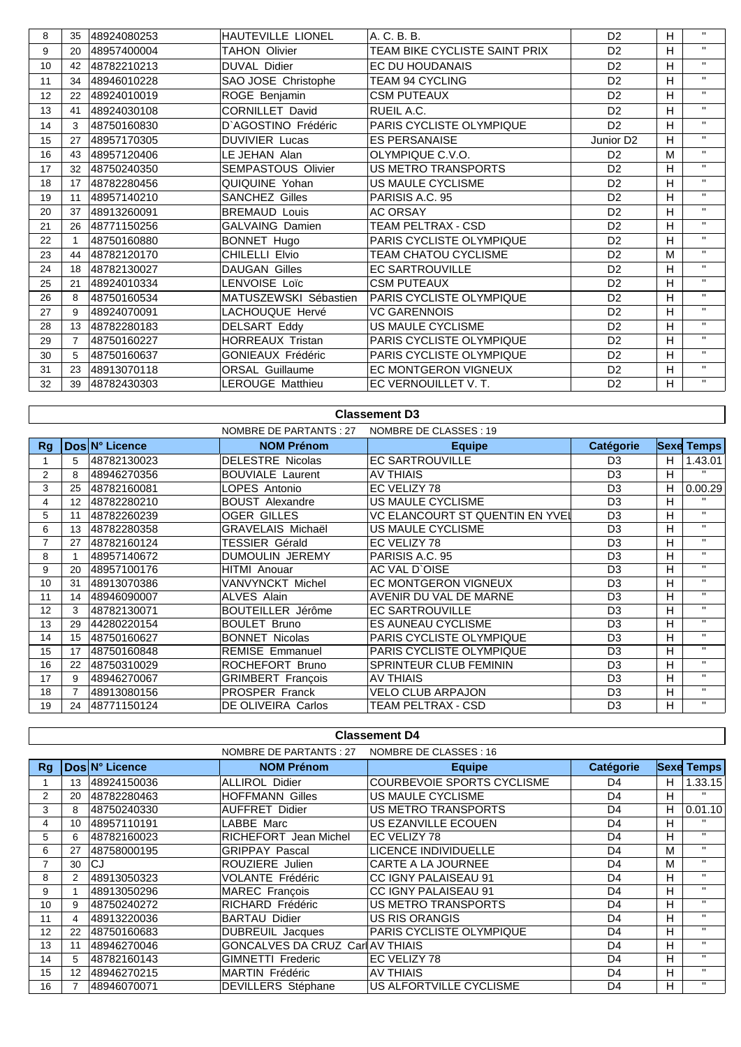| 8  | 35             | 48924080253 | <b>HAUTEVILLE LIONEL</b>  | A. C. B. B.                   | D <sub>2</sub>        | H | $\mathbf{H}$ |
|----|----------------|-------------|---------------------------|-------------------------------|-----------------------|---|--------------|
| 9  | 20             | 48957400004 | <b>TAHON Olivier</b>      | TEAM BIKE CYCLISTE SAINT PRIX | D <sub>2</sub>        | H | $\mathbf{H}$ |
| 10 | 42             | 48782210213 | <b>DUVAL Didier</b>       | EC DU HOUDANAIS               | D <sub>2</sub>        | H | $\mathbf{H}$ |
| 11 | 34             | 48946010228 | SAO JOSE Christophe       | TEAM 94 CYCLING               | D <sub>2</sub>        | H | $\mathbf{H}$ |
| 12 | 22             | 48924010019 | ROGE Benjamin             | <b>CSM PUTEAUX</b>            | D <sub>2</sub>        | H | $\mathbf{H}$ |
| 13 | 41             | 48924030108 | <b>CORNILLET David</b>    | RUEIL A.C.                    | D <sub>2</sub>        | H | $\mathbf{H}$ |
| 14 | 3              | 48750160830 | D'AGOSTINO Frédéric       | PARIS CYCLISTE OLYMPIQUE      | D <sub>2</sub>        | H | $\mathbf{H}$ |
| 15 | 27             | 48957170305 | <b>DUVIVIER Lucas</b>     | <b>ES PERSANAISE</b>          | Junior D <sub>2</sub> | H | $\mathbf{H}$ |
| 16 | 43             | 48957120406 | LE JEHAN Alan             | OLYMPIQUE C.V.O.              | D <sub>2</sub>        | M | $\mathbf{H}$ |
| 17 | 32             | 48750240350 | <b>SEMPASTOUS Olivier</b> | <b>US METRO TRANSPORTS</b>    | D <sub>2</sub>        | H | $\mathbf{H}$ |
| 18 | 17             | 48782280456 | QUIQUINE Yohan            | US MAULE CYCLISME             | D <sub>2</sub>        | H | $\mathbf{H}$ |
| 19 | 11             | 48957140210 | <b>SANCHEZ Gilles</b>     | PARISIS A.C. 95               | D <sub>2</sub>        | H | $\mathbf{H}$ |
| 20 | 37             | 48913260091 | <b>BREMAUD Louis</b>      | <b>AC ORSAY</b>               | D <sub>2</sub>        | H | $\mathbf{H}$ |
| 21 | 26             | 48771150256 | <b>GALVAING Damien</b>    | TEAM PELTRAX - CSD            | D <sub>2</sub>        | H | $\mathbf{H}$ |
| 22 |                | 48750160880 | <b>BONNET Hugo</b>        | PARIS CYCLISTE OLYMPIQUE      | D <sub>2</sub>        | H | $\mathbf{H}$ |
| 23 | 44             | 48782120170 | CHILELLI Elvio            | TEAM CHATOU CYCLISME          | D <sub>2</sub>        | M | $\mathbf{H}$ |
| 24 | 18             | 48782130027 | <b>DAUGAN Gilles</b>      | <b>EC SARTROUVILLE</b>        | D <sub>2</sub>        | H | $\mathbf{H}$ |
| 25 | 21             | 48924010334 | LENVOISE Loïc             | <b>CSM PUTEAUX</b>            | D <sub>2</sub>        | H | $\mathbf{H}$ |
| 26 | 8              | 48750160534 | MATUSZEWSKI Sébastien     | PARIS CYCLISTE OLYMPIQUE      | D <sub>2</sub>        | H | $\mathbf{H}$ |
| 27 | 9              | 48924070091 | LACHOUQUE Hervé           | VC GARENNOIS                  | D <sub>2</sub>        | H | $\mathbf{H}$ |
| 28 | 13             | 48782280183 | <b>DELSART Eddy</b>       | US MAULE CYCLISME             | D <sub>2</sub>        | H | $\mathbf{H}$ |
| 29 | $\overline{7}$ | 48750160227 | <b>HORREAUX Tristan</b>   | PARIS CYCLISTE OLYMPIQUE      | D <sub>2</sub>        | H | $\mathbf{H}$ |
| 30 | 5              | 48750160637 | GONIEAUX Frédéric         | PARIS CYCLISTE OLYMPIQUE      | D <sub>2</sub>        | H | $\mathbf{H}$ |
| 31 | 23             | 48913070118 | <b>ORSAL Guillaume</b>    | EC MONTGERON VIGNEUX          | D <sub>2</sub>        | H | $\mathbf{H}$ |
| 32 | 39             | 48782430303 | LEROUGE Matthieu          | EC VERNOUILLET V.T.           | D <sub>2</sub>        | H | $\mathbf{H}$ |

| <b>Classement D3</b> |                                                   |                |                          |                                        |                |   |                   |  |  |
|----------------------|---------------------------------------------------|----------------|--------------------------|----------------------------------------|----------------|---|-------------------|--|--|
|                      | NOMBRE DE PARTANTS : 27<br>NOMBRE DE CLASSES : 19 |                |                          |                                        |                |   |                   |  |  |
| <b>Rg</b>            |                                                   | Dos N° Licence | <b>NOM Prénom</b>        | <b>Equipe</b>                          | Catégorie      |   | <b>Sexe Temps</b> |  |  |
|                      | 5                                                 | 48782130023    | <b>DELESTRE Nicolas</b>  | <b>EC SARTROUVILLE</b>                 | D <sub>3</sub> | H | 1.43.01           |  |  |
| $\overline{2}$       | 8                                                 | 48946270356    | <b>BOUVIALE Laurent</b>  | AV THIAIS                              | D <sub>3</sub> | н | $\mathbf{H}$      |  |  |
| 3                    | 25                                                | 48782160081    | LOPES Antonio            | EC VELIZY 78                           | D <sub>3</sub> | H | 0.00.29           |  |  |
| 4                    | 12 <sup>°</sup>                                   | 48782280210    | <b>BOUST Alexandre</b>   | US MAULE CYCLISME                      | D <sub>3</sub> | Н | $\mathbf{H}$      |  |  |
| 5                    | 11                                                | 48782260239    | <b>OGER GILLES</b>       | <b>VC ELANCOURT ST QUENTIN EN YVEL</b> | D <sub>3</sub> | H | $\mathbf{H}$      |  |  |
| 6                    | 13                                                | 48782280358    | <b>GRAVELAIS Michaël</b> | US MAULE CYCLISME                      | D <sub>3</sub> | H | $\mathbf{H}$      |  |  |
| $\overline{7}$       | 27                                                | 48782160124    | TESSIER Gérald           | EC VELIZY 78                           | D <sub>3</sub> | н | $\mathbf{H}$      |  |  |
| 8                    |                                                   | 48957140672    | <b>DUMOULIN JEREMY</b>   | PARISIS A.C. 95                        | D <sub>3</sub> | H | $\mathbf{H}$      |  |  |
| 9                    | 20                                                | 48957100176    | <b>HITMI</b> Anouar      | AC VAL D'OISE                          | D <sub>3</sub> | H | $\mathbf{H}$      |  |  |
| 10                   | 31                                                | 48913070386    | VANVYNCKT Michel         | EC MONTGERON VIGNEUX                   | D <sub>3</sub> | н | $\mathbf{H}$      |  |  |
| 11                   | 14                                                | 48946090007    | <b>ALVES Alain</b>       | AVENIR DU VAL DE MARNE                 | D <sub>3</sub> | H | $\mathbf{H}$      |  |  |
| 12                   | 3                                                 | 48782130071    | <b>BOUTEILLER</b> Jérôme | <b>EC SARTROUVILLE</b>                 | D <sub>3</sub> | H | $\mathbf{H}$      |  |  |
| 13                   | 29                                                | 44280220154    | <b>BOULET Bruno</b>      | <b>ES AUNEAU CYCLISME</b>              | D <sub>3</sub> | H | $\mathbf{H}$      |  |  |
| 14                   | 15                                                | 48750160627    | <b>BONNET Nicolas</b>    | PARIS CYCLISTE OLYMPIQUE               | D <sub>3</sub> | H | $\mathbf{H}$      |  |  |
| 15                   | 17                                                | 48750160848    | <b>REMISE Emmanuel</b>   | <b>PARIS CYCLISTE OLYMPIQUE</b>        | D <sub>3</sub> | H | $\mathbf{H}$      |  |  |
| 16                   | 22                                                | 48750310029    | ROCHEFORT Bruno          | <b>SPRINTEUR CLUB FEMININ</b>          | D <sub>3</sub> | H | $\mathbf{H}$      |  |  |
| 17                   | 9                                                 | 48946270067    | <b>GRIMBERT François</b> | <b>AV THIAIS</b>                       | D <sub>3</sub> | H | $\mathbf{H}$      |  |  |
| 18                   |                                                   | 48913080156    | <b>PROSPER Franck</b>    | <b>VELO CLUB ARPAJON</b>               | D <sub>3</sub> | H | $\mathbf{H}$      |  |  |
| 19                   | 24                                                | 48771150124    | DE OLIVEIRA Carlos       | TEAM PELTRAX - CSD                     | D <sub>3</sub> | н |                   |  |  |

| <b>Classement D4</b> |                                                   |                |                                        |                                   |                |    |                   |  |
|----------------------|---------------------------------------------------|----------------|----------------------------------------|-----------------------------------|----------------|----|-------------------|--|
|                      | NOMBRE DE CLASSES : 16<br>NOMBRE DE PARTANTS : 27 |                |                                        |                                   |                |    |                   |  |
| Rg                   |                                                   | Dos N° Licence | <b>NOM Prénom</b>                      | <b>Equipe</b>                     | Catégorie      |    | <b>Sexe Temps</b> |  |
|                      | 13                                                | 48924150036    | <b>ALLIROL Didier</b>                  | <b>COURBEVOIE SPORTS CYCLISME</b> | D4             | Н  | 1.33.15           |  |
| 2                    | 20                                                | 48782280463    | <b>HOFFMANN Gilles</b>                 | US MAULE CYCLISME                 | D4             | н  |                   |  |
| 3                    | 8                                                 | 48750240330    | <b>AUFFRET Didier</b>                  | US METRO TRANSPORTS               | D4             | Н  | 0.01.10           |  |
| 4                    | 10                                                | 48957110191    | LABBE Marc                             | US EZANVILLE ECOUEN               | D4             | н  | $\mathbf{H}$      |  |
| 5                    | 6                                                 | 48782160023    | <b>RICHEFORT</b> Jean Michel           | EC VELIZY 78                      | D4             | н  | $\mathbf{H}$      |  |
| 6                    | 27                                                | 48758000195    | <b>GRIPPAY Pascal</b>                  | LICENCE INDIVIDUELLE              | D4             | M  | $\mathbf{H}$      |  |
| 7                    | 30                                                | CJ             | ROUZIERE Julien                        | CARTE A LA JOURNEE                | D4             | м  | $\mathbf{H}$      |  |
| 8                    | 2                                                 | 48913050323    | <b>VOLANTE Frédéric</b>                | CC IGNY PALAISEAU 91              | D <sub>4</sub> | H  | $\mathbf{H}$      |  |
| 9                    |                                                   | 48913050296    | <b>MAREC François</b>                  | CC IGNY PALAISEAU 91              | D4             | н  | $\mathbf{H}$      |  |
| 10                   | 9                                                 | 48750240272    | RICHARD Frédéric                       | US METRO TRANSPORTS               | D <sub>4</sub> | H  | $\mathbf{H}$      |  |
| 11                   | 4                                                 | 48913220036    | <b>BARTAU Didier</b>                   | US RIS ORANGIS                    | D4             | н  | $\mathbf{H}$      |  |
| 12                   | 22                                                | 48750160683    | <b>DUBREUIL Jacques</b>                | PARIS CYCLISTE OLYMPIQUE          | D <sub>4</sub> | н  | $\mathbf{H}$      |  |
| 13                   | 11                                                | 48946270046    | <b>GONCALVES DA CRUZ CarlAV THIAIS</b> |                                   | D4             | н  | $\mathbf{H}$      |  |
| 14                   | 5                                                 | 48782160143    | <b>GIMNETTI Frederic</b>               | EC VELIZY 78                      | D4             | н  | $\mathbf{H}$      |  |
| 15                   | 12                                                | 48946270215    | <b>MARTIN Frédéric</b>                 | <b>AV THIAIS</b>                  | D <sub>4</sub> | н  | $\mathbf{H}$      |  |
| 16                   |                                                   | 48946070071    | <b>DEVILLERS Stéphane</b>              | US ALFORTVILLE CYCLISME           | D <sub>4</sub> | H. | $\mathbf{H}$      |  |